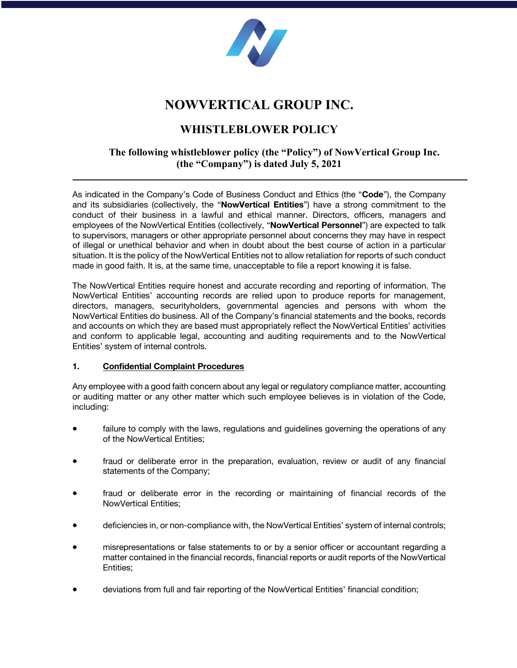

# **NOWVERTICAL GROUP INC.**

# **WHISTLEBLOWER POLICY**

## **The following whistleblower policy (the "Policy") of NowVertical Group Inc. (the "Company") is dated July 5, 2021**

As indicated in the Company's Code of Business Conduct and Ethics (the "**Code**"), the Company and its subsidiaries (collectively, the "**NowVertical Entities**") have a strong commitment to the conduct of their business in a lawful and ethical manner. Directors, officers, managers and employees of the NowVertical Entities (collectively, "**NowVertical Personnel**") are expected to talk to supervisors, managers or other appropriate personnel about concerns they may have in respect of illegal or unethical behavior and when in doubt about the best course of action in a particular situation. It is the policy of the NowVertical Entities not to allow retaliation for reports of such conduct made in good faith. It is, at the same time, unacceptable to file a report knowing it is false.

The NowVertical Entities require honest and accurate recording and reporting of information. The NowVertical Entities' accounting records are relied upon to produce reports for management, directors, managers, securityholders, governmental agencies and persons with whom the NowVertical Entities do business. All of the Company's financial statements and the books, records and accounts on which they are based must appropriately reflect the NowVertical Entities' activities and conform to applicable legal, accounting and auditing requirements and to the NowVertical Entities' system of internal controls.

### **1. Confidential Complaint Procedures**

Any employee with a good faith concern about any legal or regulatory compliance matter, accounting or auditing matter or any other matter which such employee believes is in violation of the Code, including:

- failure to comply with the laws, regulations and guidelines governing the operations of any of the NowVertical Entities;
- fraud or deliberate error in the preparation, evaluation, review or audit of any financial statements of the Company;
- fraud or deliberate error in the recording or maintaining of financial records of the NowVertical Entities;
- deficiencies in, or non-compliance with, the NowVertical Entities' system of internal controls;
- misrepresentations or false statements to or by a senior officer or accountant regarding a matter contained in the financial records, financial reports or audit reports of the NowVertical Entities;
- deviations from full and fair reporting of the NowVertical Entities' financial condition;